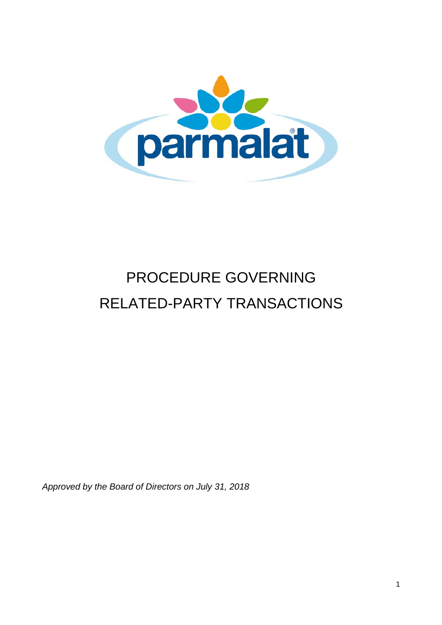

# PROCEDURE GOVERNING RELATED-PARTY TRANSACTIONS

*Approved by the Board of Directors on July 31, 2018*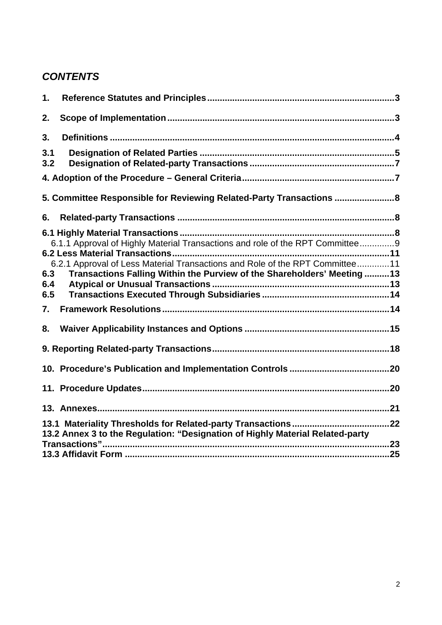## *CONTENTS*

| 1.         |                                                                                                                                                         |  |
|------------|---------------------------------------------------------------------------------------------------------------------------------------------------------|--|
| 2.         |                                                                                                                                                         |  |
| 3.         |                                                                                                                                                         |  |
| 3.1<br>3.2 |                                                                                                                                                         |  |
|            |                                                                                                                                                         |  |
|            | 5. Committee Responsible for Reviewing Related-Party Transactions  8                                                                                    |  |
| 6.         |                                                                                                                                                         |  |
|            | 6.1.1 Approval of Highly Material Transactions and role of the RPT Committee9                                                                           |  |
| 6.3<br>6.4 | 6.2.1 Approval of Less Material Transactions and Role of the RPT Committee11<br>Transactions Falling Within the Purview of the Shareholders' Meeting 13 |  |
| 6.5        |                                                                                                                                                         |  |
| 7.         |                                                                                                                                                         |  |
| 8.         |                                                                                                                                                         |  |
|            |                                                                                                                                                         |  |
|            |                                                                                                                                                         |  |
|            |                                                                                                                                                         |  |
|            |                                                                                                                                                         |  |
|            | 13.2 Annex 3 to the Regulation: "Designation of Highly Material Related-party                                                                           |  |
|            |                                                                                                                                                         |  |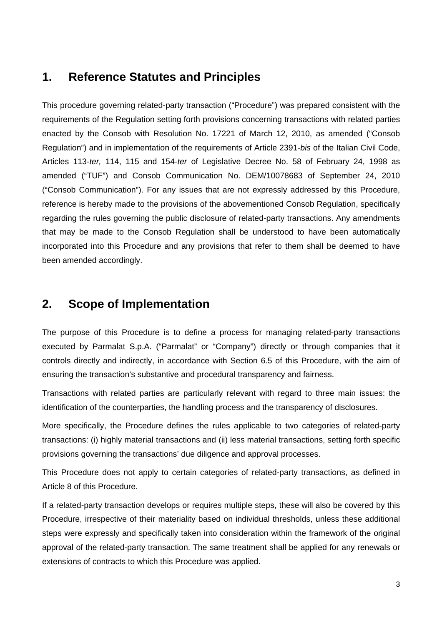## **1. Reference Statutes and Principles**

This procedure governing related-party transaction ("Procedure") was prepared consistent with the requirements of the Regulation setting forth provisions concerning transactions with related parties enacted by the Consob with Resolution No. 17221 of March 12, 2010, as amended ("Consob Regulation") and in implementation of the requirements of Article 2391-*bis* of the Italian Civil Code, Articles 113-*ter,* 114, 115 and 154-*ter* of Legislative Decree No. 58 of February 24, 1998 as amended ("TUF") and Consob Communication No. DEM/10078683 of September 24, 2010 ("Consob Communication"). For any issues that are not expressly addressed by this Procedure, reference is hereby made to the provisions of the abovementioned Consob Regulation, specifically regarding the rules governing the public disclosure of related-party transactions. Any amendments that may be made to the Consob Regulation shall be understood to have been automatically incorporated into this Procedure and any provisions that refer to them shall be deemed to have been amended accordingly.

## **2. Scope of Implementation**

The purpose of this Procedure is to define a process for managing related-party transactions executed by Parmalat S.p.A. ("Parmalat" or "Company") directly or through companies that it controls directly and indirectly, in accordance with Section 6.5 of this Procedure, with the aim of ensuring the transaction's substantive and procedural transparency and fairness.

Transactions with related parties are particularly relevant with regard to three main issues: the identification of the counterparties, the handling process and the transparency of disclosures.

More specifically, the Procedure defines the rules applicable to two categories of related-party transactions: (i) highly material transactions and (ii) less material transactions, setting forth specific provisions governing the transactions' due diligence and approval processes.

This Procedure does not apply to certain categories of related-party transactions, as defined in Article 8 of this Procedure.

If a related-party transaction develops or requires multiple steps, these will also be covered by this Procedure, irrespective of their materiality based on individual thresholds, unless these additional steps were expressly and specifically taken into consideration within the framework of the original approval of the related-party transaction. The same treatment shall be applied for any renewals or extensions of contracts to which this Procedure was applied.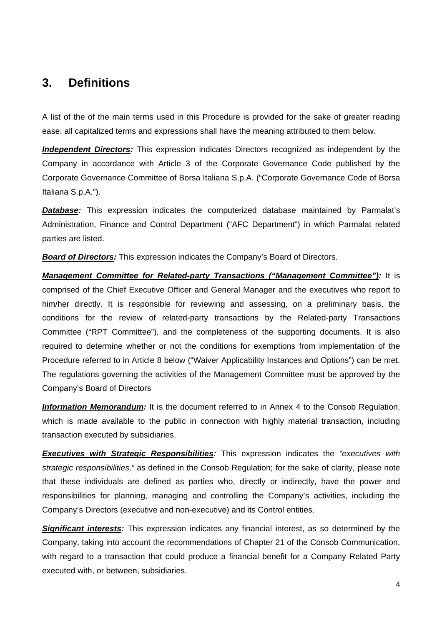## **3. Definitions**

A list of the of the main terms used in this Procedure is provided for the sake of greater reading ease; all capitalized terms and expressions shall have the meaning attributed to them below.

**Independent Directors:** This expression indicates Directors recognized as independent by the Company in accordance with Article 3 of the Corporate Governance Code published by the Corporate Governance Committee of Borsa Italiana S.p.A. ("Corporate Governance Code of Borsa Italiana S.p.A.").

*Database:* This expression indicates the computerized database maintained by Parmalat's Administration, Finance and Control Department ("AFC Department") in which Parmalat related parties are listed.

*Board of Directors:* This expression indicates the Company's Board of Directors.

*Management Committee for Related-party Transactions ("Management Committee"):* It is comprised of the Chief Executive Officer and General Manager and the executives who report to him/her directly. It is responsible for reviewing and assessing, on a preliminary basis, the conditions for the review of related-party transactions by the Related-party Transactions Committee ("RPT Committee"), and the completeness of the supporting documents. It is also required to determine whether or not the conditions for exemptions from implementation of the Procedure referred to in Article 8 below ("Waiver Applicability Instances and Options") can be met. The regulations governing the activities of the Management Committee must be approved by the Company's Board of Directors

**Information Memorandum:** It is the document referred to in Annex 4 to the Consob Regulation, which is made available to the public in connection with highly material transaction, including transaction executed by subsidiaries.

*Executives with Strategic Responsibilities:* This expression indicates the *"executives with strategic responsibilities,"* as defined in the Consob Regulation; for the sake of clarity, please note that these individuals are defined as parties who, directly or indirectly, have the power and responsibilities for planning, managing and controlling the Company's activities, including the Company's Directors (executive and non-executive) and its Control entities.

*Significant interests:* This expression indicates any financial interest, as so determined by the Company, taking into account the recommendations of Chapter 21 of the Consob Communication, with regard to a transaction that could produce a financial benefit for a Company Related Party executed with, or between, subsidiaries.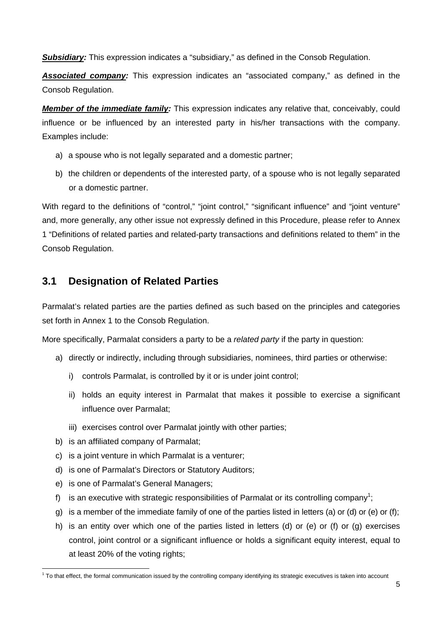**Subsidiary:** This expression indicates a "subsidiary," as defined in the Consob Regulation.

*Associated company:* This expression indicates an "associated company," as defined in the Consob Regulation.

*Member of the immediate family:* This expression indicates any relative that, conceivably, could influence or be influenced by an interested party in his/her transactions with the company. Examples include:

- a) a spouse who is not legally separated and a domestic partner;
- b) the children or dependents of the interested party, of a spouse who is not legally separated or a domestic partner.

With regard to the definitions of "control," "joint control," "significant influence" and "joint venture" and, more generally, any other issue not expressly defined in this Procedure, please refer to Annex 1 "Definitions of related parties and related-party transactions and definitions related to them" in the Consob Regulation.

### **3.1 Designation of Related Parties**

Parmalat's related parties are the parties defined as such based on the principles and categories set forth in Annex 1 to the Consob Regulation.

More specifically, Parmalat considers a party to be a *related party* if the party in question:

- a) directly or indirectly, including through subsidiaries, nominees, third parties or otherwise:
	- i) controls Parmalat, is controlled by it or is under joint control;
	- ii) holds an equity interest in Parmalat that makes it possible to exercise a significant influence over Parmalat;
	- iii) exercises control over Parmalat jointly with other parties;
- b) is an affiliated company of Parmalat;
- c) is a joint venture in which Parmalat is a venturer;
- d) is one of Parmalat's Directors or Statutory Auditors;
- e) is one of Parmalat's General Managers;
- f) is an executive with strategic responsibilities of Parmalat or its controlling company<sup>1</sup>;
- g) is a member of the immediate family of one of the parties listed in letters (a) or (d) or (e) or (f);
- h) is an entity over which one of the parties listed in letters (d) or (e) or (f) or (g) exercises control, joint control or a significant influence or holds a significant equity interest, equal to at least 20% of the voting rights;

  $1$  To that effect, the formal communication issued by the controlling company identifying its strategic executives is taken into account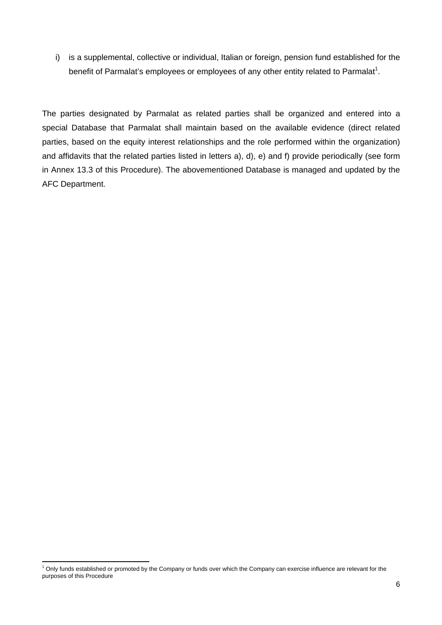i) is a supplemental, collective or individual, Italian or foreign, pension fund established for the benefit of Parmalat's employees or employees of any other entity related to Parmalat<sup>1</sup>.

The parties designated by Parmalat as related parties shall be organized and entered into a special Database that Parmalat shall maintain based on the available evidence (direct related parties, based on the equity interest relationships and the role performed within the organization) and affidavits that the related parties listed in letters a), d), e) and f) provide periodically (see form in Annex 13.3 of this Procedure). The abovementioned Database is managed and updated by the AFC Department.

 <sup>1</sup> Only funds established or promoted by the Company or funds over which the Company can exercise influence are relevant for the purposes of this Procedure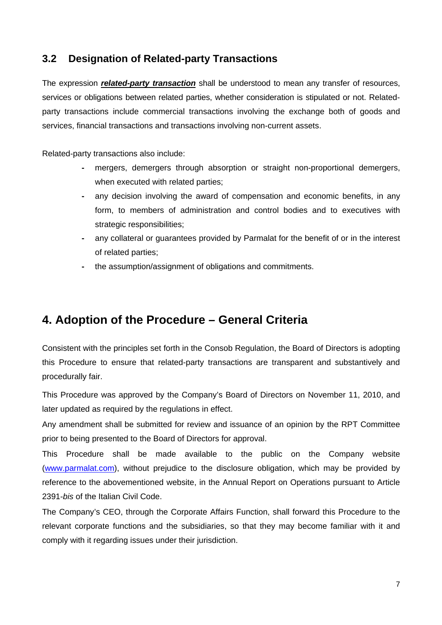### **3.2 Designation of Related-party Transactions**

The expression *related-party transaction* shall be understood to mean any transfer of resources, services or obligations between related parties, whether consideration is stipulated or not. Relatedparty transactions include commercial transactions involving the exchange both of goods and services, financial transactions and transactions involving non-current assets.

Related-party transactions also include:

- mergers, demergers through absorption or straight non-proportional demergers, when executed with related parties;
- any decision involving the award of compensation and economic benefits, in any form, to members of administration and control bodies and to executives with strategic responsibilities;
- any collateral or guarantees provided by Parmalat for the benefit of or in the interest of related parties;
- the assumption/assignment of obligations and commitments.

# **4. Adoption of the Procedure – General Criteria**

Consistent with the principles set forth in the Consob Regulation, the Board of Directors is adopting this Procedure to ensure that related-party transactions are transparent and substantively and procedurally fair.

This Procedure was approved by the Company's Board of Directors on November 11, 2010, and later updated as required by the regulations in effect.

Any amendment shall be submitted for review and issuance of an opinion by the RPT Committee prior to being presented to the Board of Directors for approval.

This Procedure shall be made available to the public on the Company website (www.parmalat.com), without prejudice to the disclosure obligation, which may be provided by reference to the abovementioned website, in the Annual Report on Operations pursuant to Article 2391-*bis* of the Italian Civil Code.

The Company's CEO, through the Corporate Affairs Function, shall forward this Procedure to the relevant corporate functions and the subsidiaries, so that they may become familiar with it and comply with it regarding issues under their jurisdiction.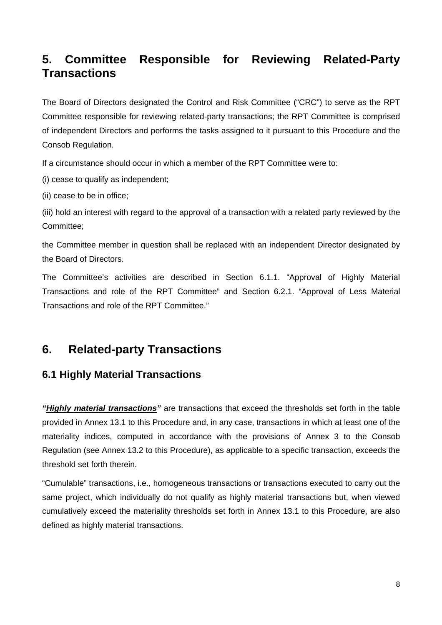# **5. Committee Responsible for Reviewing Related-Party Transactions**

The Board of Directors designated the Control and Risk Committee ("CRC") to serve as the RPT Committee responsible for reviewing related-party transactions; the RPT Committee is comprised of independent Directors and performs the tasks assigned to it pursuant to this Procedure and the Consob Regulation.

If a circumstance should occur in which a member of the RPT Committee were to:

(i) cease to qualify as independent;

(ii) cease to be in office;

(iii) hold an interest with regard to the approval of a transaction with a related party reviewed by the Committee;

the Committee member in question shall be replaced with an independent Director designated by the Board of Directors.

The Committee's activities are described in Section 6.1.1. "Approval of Highly Material Transactions and role of the RPT Committee" and Section 6.2.1. "Approval of Less Material Transactions and role of the RPT Committee."

# **6. Related-party Transactions**

### **6.1 Highly Material Transactions**

*"Highly material transactions"* are transactions that exceed the thresholds set forth in the table provided in Annex 13.1 to this Procedure and, in any case, transactions in which at least one of the materiality indices, computed in accordance with the provisions of Annex 3 to the Consob Regulation (see Annex 13.2 to this Procedure), as applicable to a specific transaction, exceeds the threshold set forth therein.

"Cumulable" transactions, i.e., homogeneous transactions or transactions executed to carry out the same project, which individually do not qualify as highly material transactions but, when viewed cumulatively exceed the materiality thresholds set forth in Annex 13.1 to this Procedure, are also defined as highly material transactions.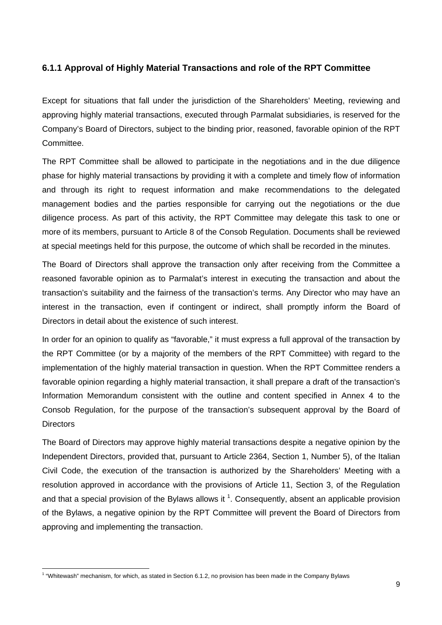#### **6.1.1 Approval of Highly Material Transactions and role of the RPT Committee**

Except for situations that fall under the jurisdiction of the Shareholders' Meeting, reviewing and approving highly material transactions, executed through Parmalat subsidiaries, is reserved for the Company's Board of Directors, subject to the binding prior, reasoned, favorable opinion of the RPT Committee.

The RPT Committee shall be allowed to participate in the negotiations and in the due diligence phase for highly material transactions by providing it with a complete and timely flow of information and through its right to request information and make recommendations to the delegated management bodies and the parties responsible for carrying out the negotiations or the due diligence process. As part of this activity, the RPT Committee may delegate this task to one or more of its members, pursuant to Article 8 of the Consob Regulation. Documents shall be reviewed at special meetings held for this purpose, the outcome of which shall be recorded in the minutes.

The Board of Directors shall approve the transaction only after receiving from the Committee a reasoned favorable opinion as to Parmalat's interest in executing the transaction and about the transaction's suitability and the fairness of the transaction's terms. Any Director who may have an interest in the transaction, even if contingent or indirect, shall promptly inform the Board of Directors in detail about the existence of such interest.

In order for an opinion to qualify as "favorable," it must express a full approval of the transaction by the RPT Committee (or by a majority of the members of the RPT Committee) with regard to the implementation of the highly material transaction in question. When the RPT Committee renders a favorable opinion regarding a highly material transaction, it shall prepare a draft of the transaction's Information Memorandum consistent with the outline and content specified in Annex 4 to the Consob Regulation, for the purpose of the transaction's subsequent approval by the Board of **Directors** 

The Board of Directors may approve highly material transactions despite a negative opinion by the Independent Directors, provided that, pursuant to Article 2364, Section 1, Number 5), of the Italian Civil Code, the execution of the transaction is authorized by the Shareholders' Meeting with a resolution approved in accordance with the provisions of Article 11, Section 3, of the Regulation and that a special provision of the Bylaws allows it  $1$ . Consequently, absent an applicable provision of the Bylaws, a negative opinion by the RPT Committee will prevent the Board of Directors from approving and implementing the transaction.

<sup>&</sup>lt;sup>1</sup> "Whitewash" mechanism, for which, as stated in Section 6.1.2, no provision has been made in the Company Bylaws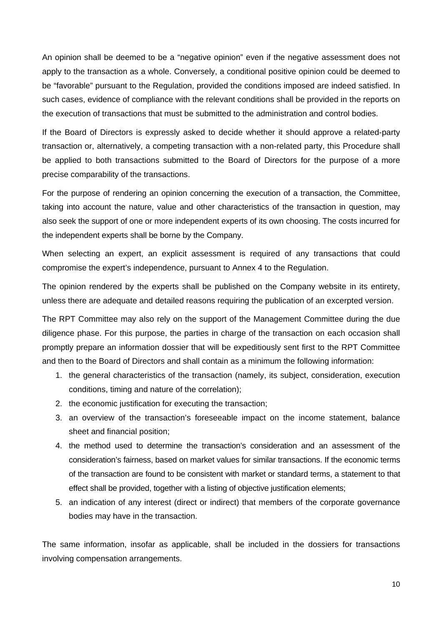An opinion shall be deemed to be a "negative opinion" even if the negative assessment does not apply to the transaction as a whole. Conversely, a conditional positive opinion could be deemed to be "favorable" pursuant to the Regulation, provided the conditions imposed are indeed satisfied. In such cases, evidence of compliance with the relevant conditions shall be provided in the reports on the execution of transactions that must be submitted to the administration and control bodies.

If the Board of Directors is expressly asked to decide whether it should approve a related-party transaction or, alternatively, a competing transaction with a non-related party, this Procedure shall be applied to both transactions submitted to the Board of Directors for the purpose of a more precise comparability of the transactions.

For the purpose of rendering an opinion concerning the execution of a transaction, the Committee, taking into account the nature, value and other characteristics of the transaction in question, may also seek the support of one or more independent experts of its own choosing. The costs incurred for the independent experts shall be borne by the Company.

When selecting an expert, an explicit assessment is required of any transactions that could compromise the expert's independence, pursuant to Annex 4 to the Regulation.

The opinion rendered by the experts shall be published on the Company website in its entirety, unless there are adequate and detailed reasons requiring the publication of an excerpted version.

The RPT Committee may also rely on the support of the Management Committee during the due diligence phase. For this purpose, the parties in charge of the transaction on each occasion shall promptly prepare an information dossier that will be expeditiously sent first to the RPT Committee and then to the Board of Directors and shall contain as a minimum the following information:

- 1. the general characteristics of the transaction (namely, its subject, consideration, execution conditions, timing and nature of the correlation);
- 2. the economic justification for executing the transaction;
- 3. an overview of the transaction's foreseeable impact on the income statement, balance sheet and financial position;
- 4. the method used to determine the transaction's consideration and an assessment of the consideration's fairness, based on market values for similar transactions. If the economic terms of the transaction are found to be consistent with market or standard terms, a statement to that effect shall be provided, together with a listing of objective justification elements;
- 5. an indication of any interest (direct or indirect) that members of the corporate governance bodies may have in the transaction.

The same information, insofar as applicable, shall be included in the dossiers for transactions involving compensation arrangements.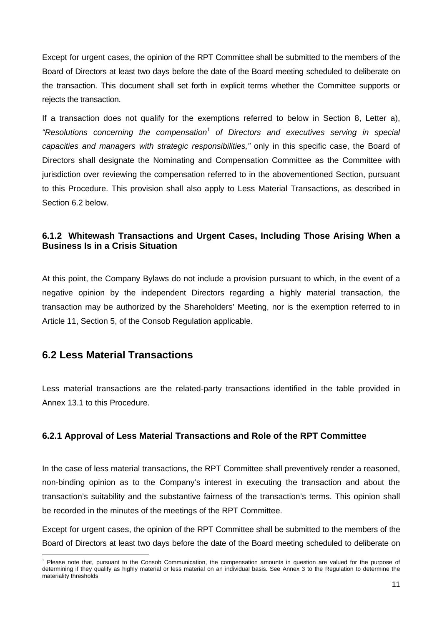Except for urgent cases, the opinion of the RPT Committee shall be submitted to the members of the Board of Directors at least two days before the date of the Board meeting scheduled to deliberate on the transaction. This document shall set forth in explicit terms whether the Committee supports or rejects the transaction.

If a transaction does not qualify for the exemptions referred to below in Section 8, Letter a), "Resolutions concerning the compensation<sup>1</sup> of Directors and executives serving in special *capacities and managers with strategic responsibilities,"* only in this specific case, the Board of Directors shall designate the Nominating and Compensation Committee as the Committee with jurisdiction over reviewing the compensation referred to in the abovementioned Section, pursuant to this Procedure. This provision shall also apply to Less Material Transactions, as described in Section 6.2 below.

#### **6.1.2 Whitewash Transactions and Urgent Cases, Including Those Arising When a Business Is in a Crisis Situation**

At this point, the Company Bylaws do not include a provision pursuant to which, in the event of a negative opinion by the independent Directors regarding a highly material transaction, the transaction may be authorized by the Shareholders' Meeting, nor is the exemption referred to in Article 11, Section 5, of the Consob Regulation applicable.

### **6.2 Less Material Transactions**

Less material transactions are the related-party transactions identified in the table provided in Annex 13.1 to this Procedure.

#### **6.2.1 Approval of Less Material Transactions and Role of the RPT Committee**

In the case of less material transactions, the RPT Committee shall preventively render a reasoned, non-binding opinion as to the Company's interest in executing the transaction and about the transaction's suitability and the substantive fairness of the transaction's terms. This opinion shall be recorded in the minutes of the meetings of the RPT Committee.

Except for urgent cases, the opinion of the RPT Committee shall be submitted to the members of the Board of Directors at least two days before the date of the Board meeting scheduled to deliberate on

<sup>1</sup> Please note that, pursuant to the Consob Communication, the compensation amounts in question are valued for the purpose of determining if they qualify as highly material or less material on an individual basis. See Annex 3 to the Regulation to determine the materiality thresholds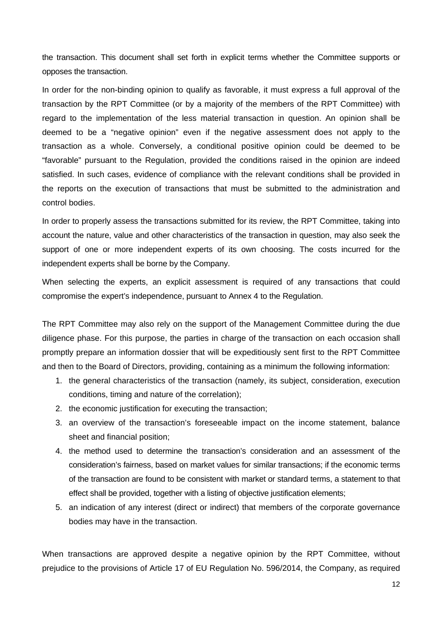the transaction. This document shall set forth in explicit terms whether the Committee supports or opposes the transaction.

In order for the non-binding opinion to qualify as favorable, it must express a full approval of the transaction by the RPT Committee (or by a majority of the members of the RPT Committee) with regard to the implementation of the less material transaction in question. An opinion shall be deemed to be a "negative opinion" even if the negative assessment does not apply to the transaction as a whole. Conversely, a conditional positive opinion could be deemed to be "favorable" pursuant to the Regulation, provided the conditions raised in the opinion are indeed satisfied. In such cases, evidence of compliance with the relevant conditions shall be provided in the reports on the execution of transactions that must be submitted to the administration and control bodies.

In order to properly assess the transactions submitted for its review, the RPT Committee, taking into account the nature, value and other characteristics of the transaction in question, may also seek the support of one or more independent experts of its own choosing. The costs incurred for the independent experts shall be borne by the Company.

When selecting the experts, an explicit assessment is required of any transactions that could compromise the expert's independence, pursuant to Annex 4 to the Regulation.

The RPT Committee may also rely on the support of the Management Committee during the due diligence phase. For this purpose, the parties in charge of the transaction on each occasion shall promptly prepare an information dossier that will be expeditiously sent first to the RPT Committee and then to the Board of Directors, providing, containing as a minimum the following information:

- 1. the general characteristics of the transaction (namely, its subject, consideration, execution conditions, timing and nature of the correlation);
- 2. the economic justification for executing the transaction;
- 3. an overview of the transaction's foreseeable impact on the income statement, balance sheet and financial position;
- 4. the method used to determine the transaction's consideration and an assessment of the consideration's fairness, based on market values for similar transactions; if the economic terms of the transaction are found to be consistent with market or standard terms, a statement to that effect shall be provided, together with a listing of objective justification elements;
- 5. an indication of any interest (direct or indirect) that members of the corporate governance bodies may have in the transaction.

When transactions are approved despite a negative opinion by the RPT Committee, without prejudice to the provisions of Article 17 of EU Regulation No. 596/2014, the Company, as required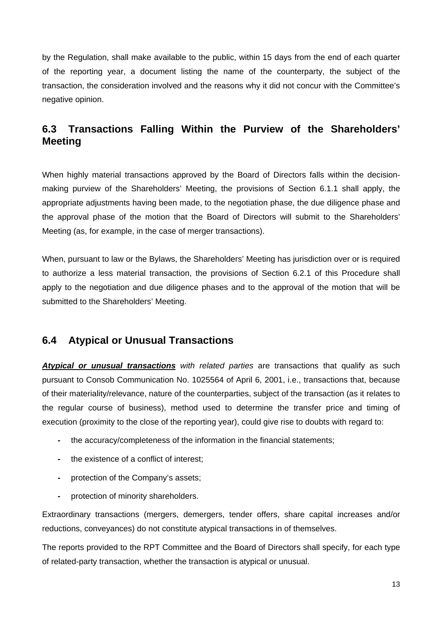by the Regulation, shall make available to the public, within 15 days from the end of each quarter of the reporting year, a document listing the name of the counterparty, the subject of the transaction, the consideration involved and the reasons why it did not concur with the Committee's negative opinion.

### **6.3 Transactions Falling Within the Purview of the Shareholders' Meeting**

When highly material transactions approved by the Board of Directors falls within the decisionmaking purview of the Shareholders' Meeting, the provisions of Section 6.1.1 shall apply, the appropriate adjustments having been made, to the negotiation phase, the due diligence phase and the approval phase of the motion that the Board of Directors will submit to the Shareholders' Meeting (as, for example, in the case of merger transactions).

When, pursuant to law or the Bylaws, the Shareholders' Meeting has jurisdiction over or is required to authorize a less material transaction, the provisions of Section 6.2.1 of this Procedure shall apply to the negotiation and due diligence phases and to the approval of the motion that will be submitted to the Shareholders' Meeting.

### **6.4 Atypical or Unusual Transactions**

*Atypical or unusual transactions with related parties* are transactions that qualify as such pursuant to Consob Communication No. 1025564 of April 6, 2001, i.e., transactions that, because of their materiality/relevance, nature of the counterparties, subject of the transaction (as it relates to the regular course of business), method used to determine the transfer price and timing of execution (proximity to the close of the reporting year), could give rise to doubts with regard to:

- the accuracy/completeness of the information in the financial statements;
- the existence of a conflict of interest;
- protection of the Company's assets;
- protection of minority shareholders.

Extraordinary transactions (mergers, demergers, tender offers, share capital increases and/or reductions, conveyances) do not constitute atypical transactions in of themselves.

The reports provided to the RPT Committee and the Board of Directors shall specify, for each type of related-party transaction, whether the transaction is atypical or unusual.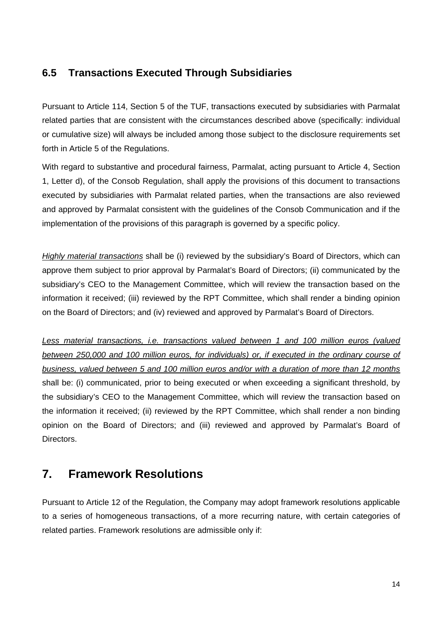### **6.5 Transactions Executed Through Subsidiaries**

Pursuant to Article 114, Section 5 of the TUF, transactions executed by subsidiaries with Parmalat related parties that are consistent with the circumstances described above (specifically: individual or cumulative size) will always be included among those subject to the disclosure requirements set forth in Article 5 of the Regulations.

With regard to substantive and procedural fairness. Parmalat, acting pursuant to Article 4, Section 1, Letter d), of the Consob Regulation, shall apply the provisions of this document to transactions executed by subsidiaries with Parmalat related parties, when the transactions are also reviewed and approved by Parmalat consistent with the guidelines of the Consob Communication and if the implementation of the provisions of this paragraph is governed by a specific policy.

*Highly material transactions* shall be (i) reviewed by the subsidiary's Board of Directors, which can approve them subject to prior approval by Parmalat's Board of Directors; (ii) communicated by the subsidiary's CEO to the Management Committee, which will review the transaction based on the information it received; (iii) reviewed by the RPT Committee, which shall render a binding opinion on the Board of Directors; and (iv) reviewed and approved by Parmalat's Board of Directors.

*Less material transactions, i.e. transactions valued between 1 and 100 million euros (valued between 250,000 and 100 million euros, for individuals) or, if executed in the ordinary course of business, valued between 5 and 100 million euros and/or with a duration of more than 12 months* shall be: (i) communicated, prior to being executed or when exceeding a significant threshold, by the subsidiary's CEO to the Management Committee, which will review the transaction based on the information it received; (ii) reviewed by the RPT Committee, which shall render a non binding opinion on the Board of Directors; and (iii) reviewed and approved by Parmalat's Board of Directors.

# **7. Framework Resolutions**

Pursuant to Article 12 of the Regulation, the Company may adopt framework resolutions applicable to a series of homogeneous transactions, of a more recurring nature, with certain categories of related parties. Framework resolutions are admissible only if: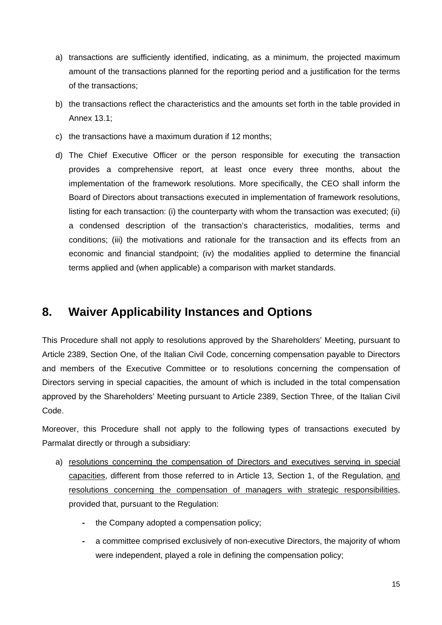- a) transactions are sufficiently identified, indicating, as a minimum, the projected maximum amount of the transactions planned for the reporting period and a justification for the terms of the transactions;
- b) the transactions reflect the characteristics and the amounts set forth in the table provided in Annex 13.1;
- c) the transactions have a maximum duration if 12 months;
- d) The Chief Executive Officer or the person responsible for executing the transaction provides a comprehensive report, at least once every three months, about the implementation of the framework resolutions. More specifically, the CEO shall inform the Board of Directors about transactions executed in implementation of framework resolutions, listing for each transaction: (i) the counterparty with whom the transaction was executed; (ii) a condensed description of the transaction's characteristics, modalities, terms and conditions; (iii) the motivations and rationale for the transaction and its effects from an economic and financial standpoint; (iv) the modalities applied to determine the financial terms applied and (when applicable) a comparison with market standards.

# **8. Waiver Applicability Instances and Options**

This Procedure shall not apply to resolutions approved by the Shareholders' Meeting, pursuant to Article 2389, Section One, of the Italian Civil Code, concerning compensation payable to Directors and members of the Executive Committee or to resolutions concerning the compensation of Directors serving in special capacities, the amount of which is included in the total compensation approved by the Shareholders' Meeting pursuant to Article 2389, Section Three, of the Italian Civil Code.

Moreover, this Procedure shall not apply to the following types of transactions executed by Parmalat directly or through a subsidiary:

- a) resolutions concerning the compensation of Directors and executives serving in special capacities, different from those referred to in Article 13, Section 1, of the Regulation, and resolutions concerning the compensation of managers with strategic responsibilities, provided that, pursuant to the Regulation:
	- the Company adopted a compensation policy;
	- a committee comprised exclusively of non-executive Directors, the majority of whom were independent, played a role in defining the compensation policy;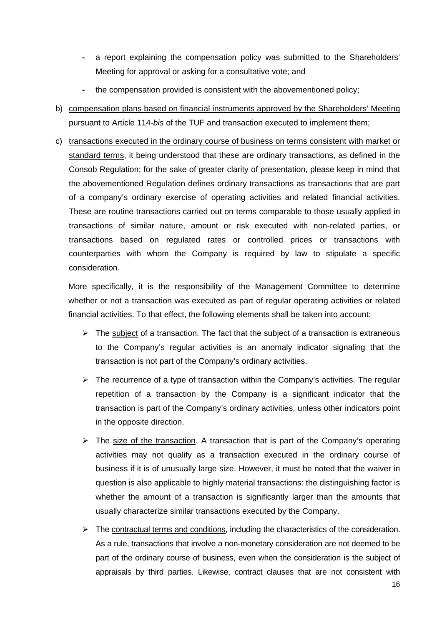- a report explaining the compensation policy was submitted to the Shareholders' Meeting for approval or asking for a consultative vote; and
- the compensation provided is consistent with the abovementioned policy;
- b) compensation plans based on financial instruments approved by the Shareholders' Meeting pursuant to Article 114-*bis* of the TUF and transaction executed to implement them;
- c) transactions executed in the ordinary course of business on terms consistent with market or standard terms, it being understood that these are ordinary transactions, as defined in the Consob Regulation; for the sake of greater clarity of presentation, please keep in mind that the abovementioned Regulation defines ordinary transactions as transactions that are part of a company's ordinary exercise of operating activities and related financial activities. These are routine transactions carried out on terms comparable to those usually applied in transactions of similar nature, amount or risk executed with non-related parties, or transactions based on regulated rates or controlled prices or transactions with counterparties with whom the Company is required by law to stipulate a specific consideration.

More specifically, it is the responsibility of the Management Committee to determine whether or not a transaction was executed as part of regular operating activities or related financial activities. To that effect, the following elements shall be taken into account:

- $\triangleright$  The subject of a transaction. The fact that the subject of a transaction is extraneous to the Company's regular activities is an anomaly indicator signaling that the transaction is not part of the Company's ordinary activities.
- $\triangleright$  The recurrence of a type of transaction within the Company's activities. The regular repetition of a transaction by the Company is a significant indicator that the transaction is part of the Company's ordinary activities, unless other indicators point in the opposite direction.
- $\triangleright$  The size of the transaction. A transaction that is part of the Company's operating activities may not qualify as a transaction executed in the ordinary course of business if it is of unusually large size. However, it must be noted that the waiver in question is also applicable to highly material transactions: the distinguishing factor is whether the amount of a transaction is significantly larger than the amounts that usually characterize similar transactions executed by the Company.
- $\triangleright$  The contractual terms and conditions, including the characteristics of the consideration. As a rule, transactions that involve a non-monetary consideration are not deemed to be part of the ordinary course of business, even when the consideration is the subject of appraisals by third parties. Likewise, contract clauses that are not consistent with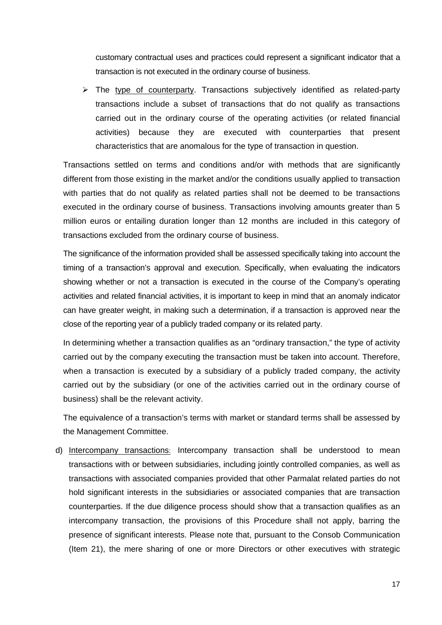customary contractual uses and practices could represent a significant indicator that a transaction is not executed in the ordinary course of business.

 $\triangleright$  The type of counterparty. Transactions subjectively identified as related-party transactions include a subset of transactions that do not qualify as transactions carried out in the ordinary course of the operating activities (or related financial activities) because they are executed with counterparties that present characteristics that are anomalous for the type of transaction in question.

Transactions settled on terms and conditions and/or with methods that are significantly different from those existing in the market and/or the conditions usually applied to transaction with parties that do not qualify as related parties shall not be deemed to be transactions executed in the ordinary course of business. Transactions involving amounts greater than 5 million euros or entailing duration longer than 12 months are included in this category of transactions excluded from the ordinary course of business.

The significance of the information provided shall be assessed specifically taking into account the timing of a transaction's approval and execution. Specifically, when evaluating the indicators showing whether or not a transaction is executed in the course of the Company's operating activities and related financial activities, it is important to keep in mind that an anomaly indicator can have greater weight, in making such a determination, if a transaction is approved near the close of the reporting year of a publicly traded company or its related party.

In determining whether a transaction qualifies as an "ordinary transaction," the type of activity carried out by the company executing the transaction must be taken into account. Therefore, when a transaction is executed by a subsidiary of a publicly traded company, the activity carried out by the subsidiary (or one of the activities carried out in the ordinary course of business) shall be the relevant activity.

The equivalence of a transaction's terms with market or standard terms shall be assessed by the Management Committee.

d) Intercompany transactions: Intercompany transaction shall be understood to mean transactions with or between subsidiaries, including jointly controlled companies, as well as transactions with associated companies provided that other Parmalat related parties do not hold significant interests in the subsidiaries or associated companies that are transaction counterparties. If the due diligence process should show that a transaction qualifies as an intercompany transaction, the provisions of this Procedure shall not apply, barring the presence of significant interests. Please note that, pursuant to the Consob Communication (Item 21), the mere sharing of one or more Directors or other executives with strategic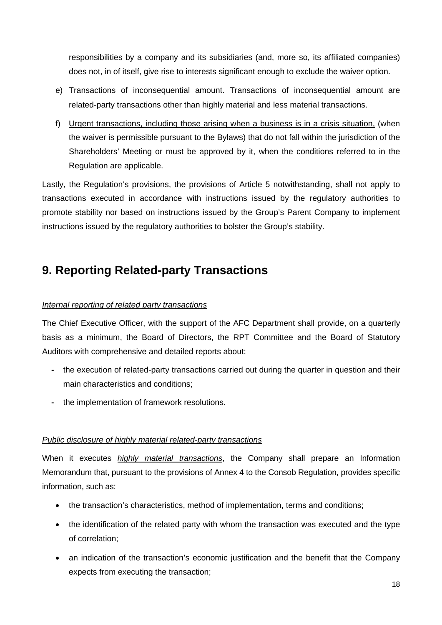responsibilities by a company and its subsidiaries (and, more so, its affiliated companies) does not, in of itself, give rise to interests significant enough to exclude the waiver option.

- e) Transactions of inconsequential amount. Transactions of inconsequential amount are related-party transactions other than highly material and less material transactions.
- f) Urgent transactions, including those arising when a business is in a crisis situation, (when the waiver is permissible pursuant to the Bylaws) that do not fall within the jurisdiction of the Shareholders' Meeting or must be approved by it, when the conditions referred to in the Regulation are applicable.

Lastly, the Regulation's provisions, the provisions of Article 5 notwithstanding, shall not apply to transactions executed in accordance with instructions issued by the regulatory authorities to promote stability nor based on instructions issued by the Group's Parent Company to implement instructions issued by the regulatory authorities to bolster the Group's stability.

# **9. Reporting Related-party Transactions**

#### *Internal reporting of related party transactions*

The Chief Executive Officer, with the support of the AFC Department shall provide, on a quarterly basis as a minimum, the Board of Directors, the RPT Committee and the Board of Statutory Auditors with comprehensive and detailed reports about:

- the execution of related-party transactions carried out during the quarter in question and their main characteristics and conditions;
- the implementation of framework resolutions.

#### *Public disclosure of highly material related-party transactions*

When it executes *highly material transactions*, the Company shall prepare an Information Memorandum that, pursuant to the provisions of Annex 4 to the Consob Regulation, provides specific information, such as:

- the transaction's characteristics, method of implementation, terms and conditions;
- the identification of the related party with whom the transaction was executed and the type of correlation;
- an indication of the transaction's economic justification and the benefit that the Company expects from executing the transaction;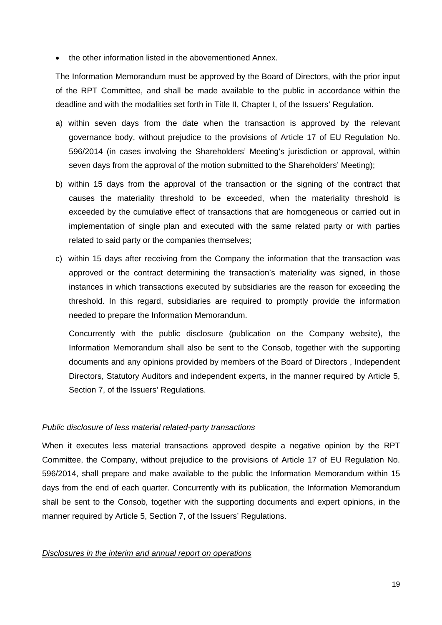• the other information listed in the abovementioned Annex.

The Information Memorandum must be approved by the Board of Directors, with the prior input of the RPT Committee, and shall be made available to the public in accordance within the deadline and with the modalities set forth in Title II, Chapter I, of the Issuers' Regulation.

- a) within seven days from the date when the transaction is approved by the relevant governance body, without prejudice to the provisions of Article 17 of EU Regulation No. 596/2014 (in cases involving the Shareholders' Meeting's jurisdiction or approval, within seven days from the approval of the motion submitted to the Shareholders' Meeting);
- b) within 15 days from the approval of the transaction or the signing of the contract that causes the materiality threshold to be exceeded, when the materiality threshold is exceeded by the cumulative effect of transactions that are homogeneous or carried out in implementation of single plan and executed with the same related party or with parties related to said party or the companies themselves;
- c) within 15 days after receiving from the Company the information that the transaction was approved or the contract determining the transaction's materiality was signed, in those instances in which transactions executed by subsidiaries are the reason for exceeding the threshold. In this regard, subsidiaries are required to promptly provide the information needed to prepare the Information Memorandum.

Concurrently with the public disclosure (publication on the Company website), the Information Memorandum shall also be sent to the Consob, together with the supporting documents and any opinions provided by members of the Board of Directors , Independent Directors, Statutory Auditors and independent experts, in the manner required by Article 5, Section 7, of the Issuers' Regulations.

#### *Public disclosure of less material related-party transactions*

When it executes less material transactions approved despite a negative opinion by the RPT Committee, the Company, without prejudice to the provisions of Article 17 of EU Regulation No. 596/2014, shall prepare and make available to the public the Information Memorandum within 15 days from the end of each quarter. Concurrently with its publication, the Information Memorandum shall be sent to the Consob, together with the supporting documents and expert opinions, in the manner required by Article 5, Section 7, of the Issuers' Requiations.

#### *Disclosures in the interim and annual report on operations*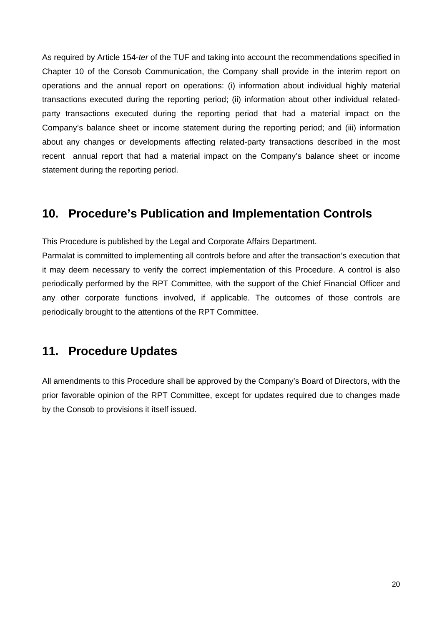As required by Article 154-*ter* of the TUF and taking into account the recommendations specified in Chapter 10 of the Consob Communication, the Company shall provide in the interim report on operations and the annual report on operations: (i) information about individual highly material transactions executed during the reporting period; (ii) information about other individual relatedparty transactions executed during the reporting period that had a material impact on the Company's balance sheet or income statement during the reporting period; and (iii) information about any changes or developments affecting related-party transactions described in the most recent annual report that had a material impact on the Company's balance sheet or income statement during the reporting period.

## **10. Procedure's Publication and Implementation Controls**

This Procedure is published by the Legal and Corporate Affairs Department.

Parmalat is committed to implementing all controls before and after the transaction's execution that it may deem necessary to verify the correct implementation of this Procedure. A control is also periodically performed by the RPT Committee, with the support of the Chief Financial Officer and any other corporate functions involved, if applicable. The outcomes of those controls are periodically brought to the attentions of the RPT Committee.

### **11. Procedure Updates**

All amendments to this Procedure shall be approved by the Company's Board of Directors, with the prior favorable opinion of the RPT Committee, except for updates required due to changes made by the Consob to provisions it itself issued.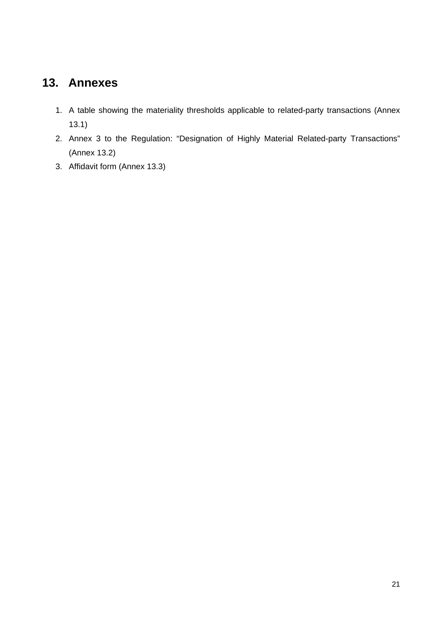# **13. Annexes**

- 1. A table showing the materiality thresholds applicable to related-party transactions (Annex 13.1)
- 2. Annex 3 to the Regulation: "Designation of Highly Material Related-party Transactions" (Annex 13.2)
- 3. Affidavit form (Annex 13.3)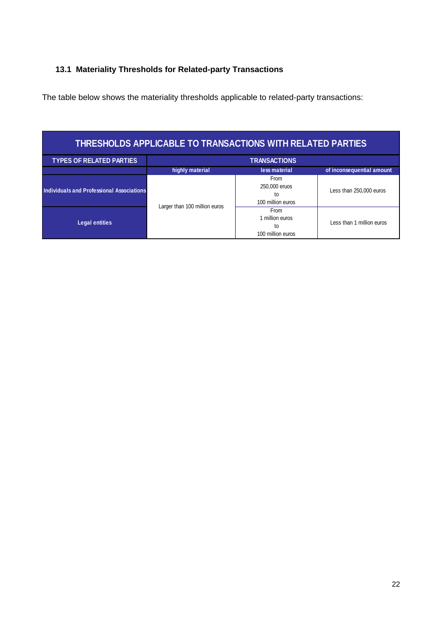#### **13.1 Materiality Thresholds for Related-party Transactions**

The table below shows the materiality thresholds applicable to related-party transactions:

| THRESHOLDS APPLICABLE TO TRANSACTIONS WITH RELATED PARTIES |                               |                                                    |                           |  |  |
|------------------------------------------------------------|-------------------------------|----------------------------------------------------|---------------------------|--|--|
| <b>TYPES OF RELATED PARTIES</b>                            | <b>TRANSACTIONS</b>           |                                                    |                           |  |  |
|                                                            | highly material               | less material                                      | of inconsequential amount |  |  |
| Individuals and Professional Associations                  | Larger than 100 million euros | From<br>250,000 eruos<br>to<br>100 million euros   | Less than 250,000 euros   |  |  |
| <b>Legal entities</b>                                      |                               | From<br>I million euros<br>to<br>100 million euros | Less than 1 million euros |  |  |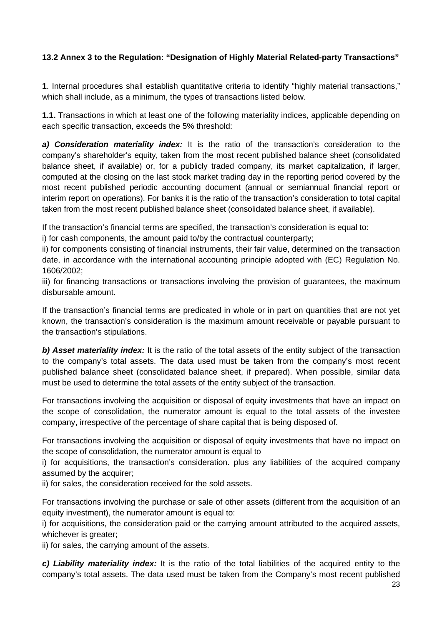#### **13.2 Annex 3 to the Regulation: "Designation of Highly Material Related-party Transactions"**

**1**. Internal procedures shall establish quantitative criteria to identify "highly material transactions," which shall include, as a minimum, the types of transactions listed below.

**1.1.** Transactions in which at least one of the following materiality indices, applicable depending on each specific transaction, exceeds the 5% threshold:

*a) Consideration materiality index:* It is the ratio of the transaction's consideration to the company's shareholder's equity, taken from the most recent published balance sheet (consolidated balance sheet, if available) or, for a publicly traded company, its market capitalization, if larger, computed at the closing on the last stock market trading day in the reporting period covered by the most recent published periodic accounting document (annual or semiannual financial report or interim report on operations). For banks it is the ratio of the transaction's consideration to total capital taken from the most recent published balance sheet (consolidated balance sheet, if available).

If the transaction's financial terms are specified, the transaction's consideration is equal to:

i) for cash components, the amount paid to/by the contractual counterparty;

ii) for components consisting of financial instruments, their fair value, determined on the transaction date, in accordance with the international accounting principle adopted with (EC) Regulation No. 1606/2002;

iii) for financing transactions or transactions involving the provision of guarantees, the maximum disbursable amount.

If the transaction's financial terms are predicated in whole or in part on quantities that are not yet known, the transaction's consideration is the maximum amount receivable or payable pursuant to the transaction's stipulations.

**b) Asset materiality index:** It is the ratio of the total assets of the entity subject of the transaction to the company's total assets. The data used must be taken from the company's most recent published balance sheet (consolidated balance sheet, if prepared). When possible, similar data must be used to determine the total assets of the entity subject of the transaction.

For transactions involving the acquisition or disposal of equity investments that have an impact on the scope of consolidation, the numerator amount is equal to the total assets of the investee company, irrespective of the percentage of share capital that is being disposed of.

For transactions involving the acquisition or disposal of equity investments that have no impact on the scope of consolidation, the numerator amount is equal to

i) for acquisitions, the transaction's consideration. plus any liabilities of the acquired company assumed by the acquirer;

ii) for sales, the consideration received for the sold assets.

For transactions involving the purchase or sale of other assets (different from the acquisition of an equity investment), the numerator amount is equal to:

i) for acquisitions, the consideration paid or the carrying amount attributed to the acquired assets, whichever is greater:

ii) for sales, the carrying amount of the assets.

*c) Liability materiality index:* It is the ratio of the total liabilities of the acquired entity to the company's total assets. The data used must be taken from the Company's most recent published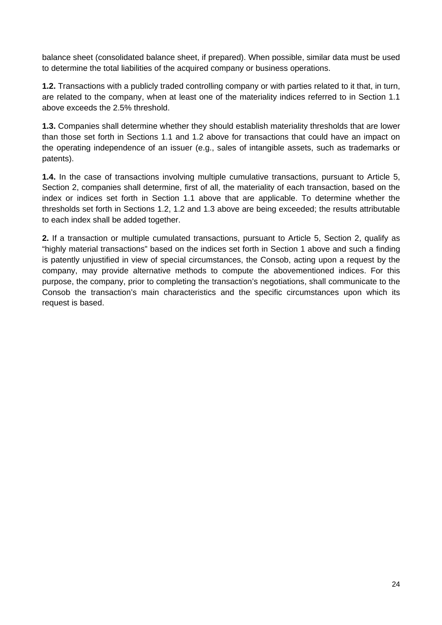balance sheet (consolidated balance sheet, if prepared). When possible, similar data must be used to determine the total liabilities of the acquired company or business operations.

**1.2.** Transactions with a publicly traded controlling company or with parties related to it that, in turn, are related to the company, when at least one of the materiality indices referred to in Section 1.1 above exceeds the 2.5% threshold.

**1.3.** Companies shall determine whether they should establish materiality thresholds that are lower than those set forth in Sections 1.1 and 1.2 above for transactions that could have an impact on the operating independence of an issuer (e.g., sales of intangible assets, such as trademarks or patents).

**1.4.** In the case of transactions involving multiple cumulative transactions, pursuant to Article 5, Section 2, companies shall determine, first of all, the materiality of each transaction, based on the index or indices set forth in Section 1.1 above that are applicable. To determine whether the thresholds set forth in Sections 1.2, 1.2 and 1.3 above are being exceeded; the results attributable to each index shall be added together.

**2.** If a transaction or multiple cumulated transactions, pursuant to Article 5, Section 2, qualify as "highly material transactions" based on the indices set forth in Section 1 above and such a finding is patently unjustified in view of special circumstances, the Consob, acting upon a request by the company, may provide alternative methods to compute the abovementioned indices. For this purpose, the company, prior to completing the transaction's negotiations, shall communicate to the Consob the transaction's main characteristics and the specific circumstances upon which its request is based.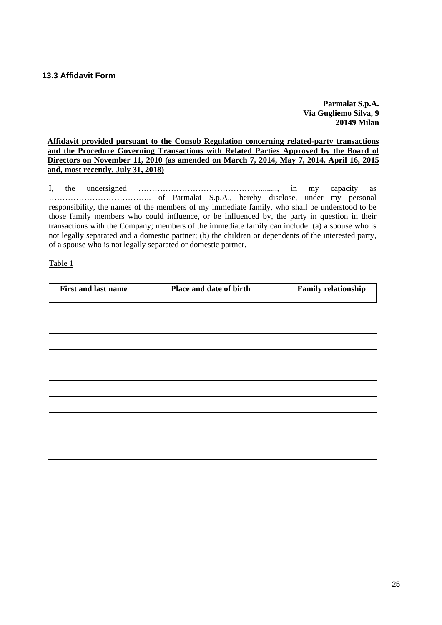**Parmalat S.p.A. Via Gugliemo Silva, 9 20149 Milan** 

#### **Affidavit provided pursuant to the Consob Regulation concerning related-party transactions and the Procedure Governing Transactions with Related Parties Approved by the Board of Directors on November 11, 2010 (as amended on March 7, 2014, May 7, 2014, April 16, 2015 and, most recently, July 31, 2018)**

I, the undersigned ………………………………………........, in my capacity as ……………………………….. of Parmalat S.p.A., hereby disclose, under my personal responsibility, the names of the members of my immediate family, who shall be understood to be those family members who could influence, or be influenced by, the party in question in their transactions with the Company; members of the immediate family can include: (a) a spouse who is not legally separated and a domestic partner; (b) the children or dependents of the interested party, of a spouse who is not legally separated or domestic partner.

#### Table 1

| <b>First and last name</b> | Place and date of birth | <b>Family relationship</b> |
|----------------------------|-------------------------|----------------------------|
|                            |                         |                            |
|                            |                         |                            |
|                            |                         |                            |
|                            |                         |                            |
|                            |                         |                            |
|                            |                         |                            |
|                            |                         |                            |
|                            |                         |                            |
|                            |                         |                            |
|                            |                         |                            |